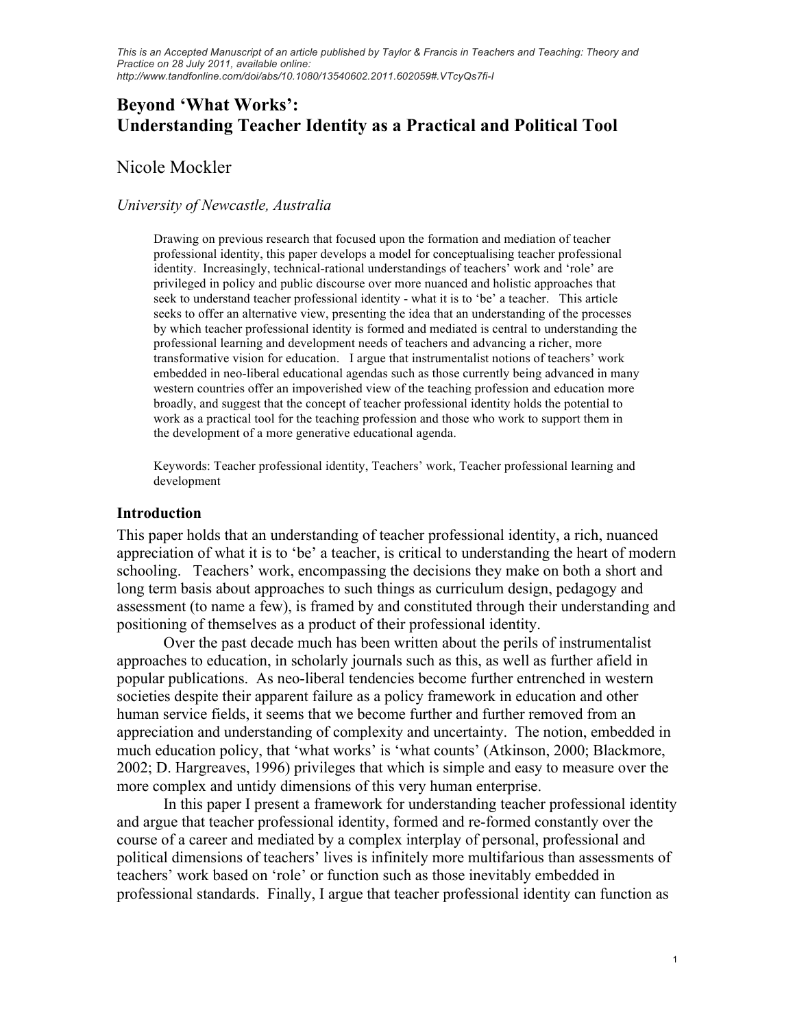# **Beyond 'What Works': Understanding Teacher Identity as a Practical and Political Tool**

Nicole Mockler

## *University of Newcastle, Australia*

Drawing on previous research that focused upon the formation and mediation of teacher professional identity, this paper develops a model for conceptualising teacher professional identity. Increasingly, technical-rational understandings of teachers' work and 'role' are privileged in policy and public discourse over more nuanced and holistic approaches that seek to understand teacher professional identity - what it is to 'be' a teacher. This article seeks to offer an alternative view, presenting the idea that an understanding of the processes by which teacher professional identity is formed and mediated is central to understanding the professional learning and development needs of teachers and advancing a richer, more transformative vision for education. I argue that instrumentalist notions of teachers' work embedded in neo-liberal educational agendas such as those currently being advanced in many western countries offer an impoverished view of the teaching profession and education more broadly, and suggest that the concept of teacher professional identity holds the potential to work as a practical tool for the teaching profession and those who work to support them in the development of a more generative educational agenda.

Keywords: Teacher professional identity, Teachers' work, Teacher professional learning and development

#### **Introduction**

This paper holds that an understanding of teacher professional identity, a rich, nuanced appreciation of what it is to 'be' a teacher, is critical to understanding the heart of modern schooling. Teachers' work, encompassing the decisions they make on both a short and long term basis about approaches to such things as curriculum design, pedagogy and assessment (to name a few), is framed by and constituted through their understanding and positioning of themselves as a product of their professional identity.

Over the past decade much has been written about the perils of instrumentalist approaches to education, in scholarly journals such as this, as well as further afield in popular publications. As neo-liberal tendencies become further entrenched in western societies despite their apparent failure as a policy framework in education and other human service fields, it seems that we become further and further removed from an appreciation and understanding of complexity and uncertainty. The notion, embedded in much education policy, that 'what works' is 'what counts' (Atkinson, 2000; Blackmore, 2002; D. Hargreaves, 1996) privileges that which is simple and easy to measure over the more complex and untidy dimensions of this very human enterprise.

In this paper I present a framework for understanding teacher professional identity and argue that teacher professional identity, formed and re-formed constantly over the course of a career and mediated by a complex interplay of personal, professional and political dimensions of teachers' lives is infinitely more multifarious than assessments of teachers' work based on 'role' or function such as those inevitably embedded in professional standards. Finally, I argue that teacher professional identity can function as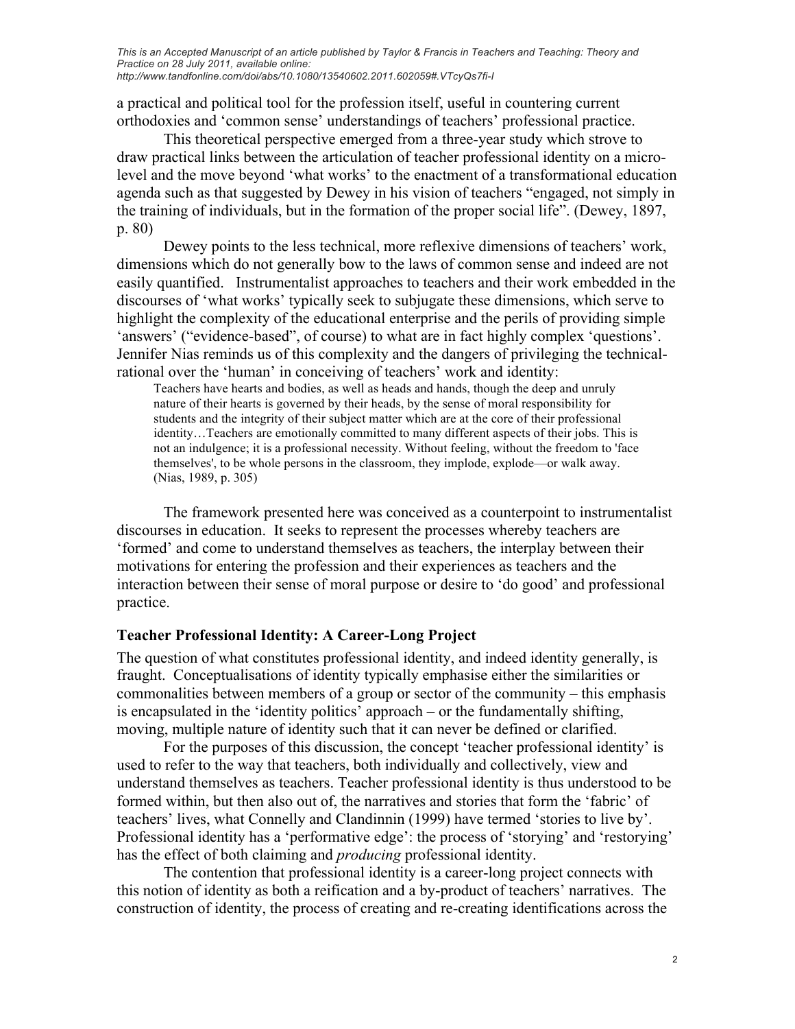a practical and political tool for the profession itself, useful in countering current orthodoxies and 'common sense' understandings of teachers' professional practice.

This theoretical perspective emerged from a three-year study which strove to draw practical links between the articulation of teacher professional identity on a microlevel and the move beyond 'what works' to the enactment of a transformational education agenda such as that suggested by Dewey in his vision of teachers "engaged, not simply in the training of individuals, but in the formation of the proper social life". (Dewey, 1897, p. 80)

Dewey points to the less technical, more reflexive dimensions of teachers' work, dimensions which do not generally bow to the laws of common sense and indeed are not easily quantified. Instrumentalist approaches to teachers and their work embedded in the discourses of 'what works' typically seek to subjugate these dimensions, which serve to highlight the complexity of the educational enterprise and the perils of providing simple 'answers' ("evidence-based", of course) to what are in fact highly complex 'questions'. Jennifer Nias reminds us of this complexity and the dangers of privileging the technicalrational over the 'human' in conceiving of teachers' work and identity:

Teachers have hearts and bodies, as well as heads and hands, though the deep and unruly nature of their hearts is governed by their heads, by the sense of moral responsibility for students and the integrity of their subject matter which are at the core of their professional identity…Teachers are emotionally committed to many different aspects of their jobs. This is not an indulgence; it is a professional necessity. Without feeling, without the freedom to 'face themselves', to be whole persons in the classroom, they implode, explode—or walk away. (Nias, 1989, p. 305)

The framework presented here was conceived as a counterpoint to instrumentalist discourses in education. It seeks to represent the processes whereby teachers are 'formed' and come to understand themselves as teachers, the interplay between their motivations for entering the profession and their experiences as teachers and the interaction between their sense of moral purpose or desire to 'do good' and professional practice.

#### **Teacher Professional Identity: A Career-Long Project**

The question of what constitutes professional identity, and indeed identity generally, is fraught. Conceptualisations of identity typically emphasise either the similarities or commonalities between members of a group or sector of the community – this emphasis is encapsulated in the 'identity politics' approach – or the fundamentally shifting, moving, multiple nature of identity such that it can never be defined or clarified.

For the purposes of this discussion, the concept 'teacher professional identity' is used to refer to the way that teachers, both individually and collectively, view and understand themselves as teachers. Teacher professional identity is thus understood to be formed within, but then also out of, the narratives and stories that form the 'fabric' of teachers' lives, what Connelly and Clandinnin (1999) have termed 'stories to live by'. Professional identity has a 'performative edge': the process of 'storying' and 'restorying' has the effect of both claiming and *producing* professional identity.

The contention that professional identity is a career-long project connects with this notion of identity as both a reification and a by-product of teachers' narratives. The construction of identity, the process of creating and re-creating identifications across the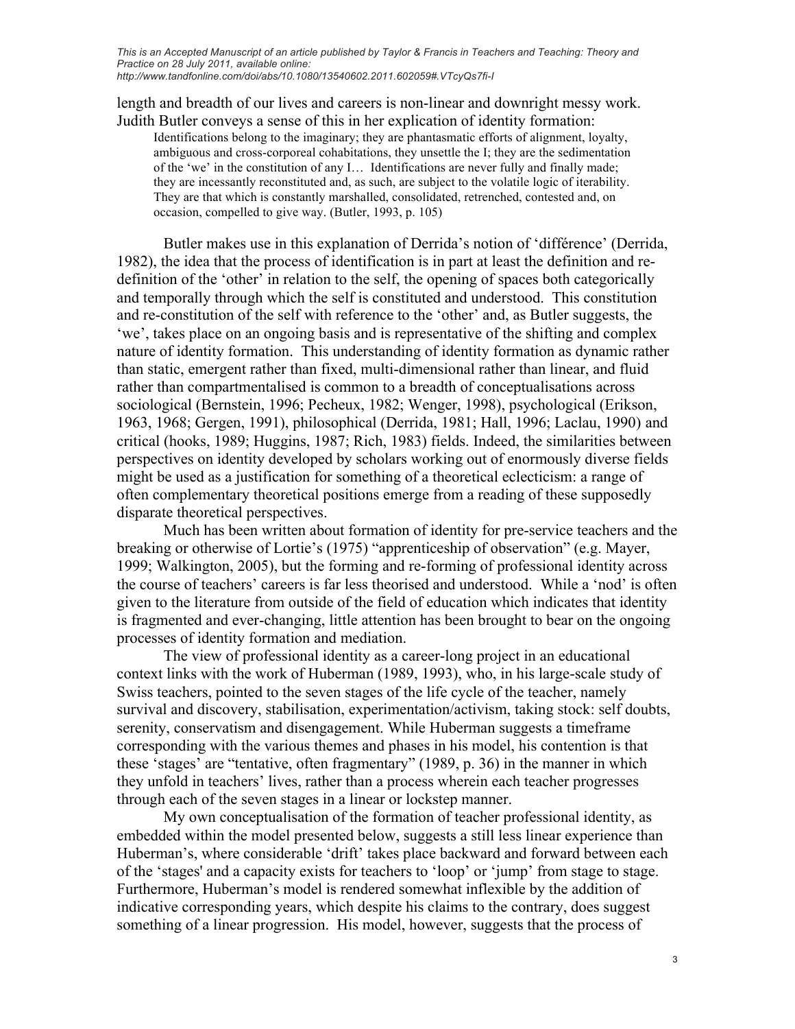length and breadth of our lives and careers is non-linear and downright messy work. Judith Butler conveys a sense of this in her explication of identity formation:

Identifications belong to the imaginary; they are phantasmatic efforts of alignment, loyalty, ambiguous and cross-corporeal cohabitations, they unsettle the I; they are the sedimentation of the 'we' in the constitution of any I… Identifications are never fully and finally made; they are incessantly reconstituted and, as such, are subject to the volatile logic of iterability. They are that which is constantly marshalled, consolidated, retrenched, contested and, on occasion, compelled to give way. (Butler, 1993, p. 105)

Butler makes use in this explanation of Derrida's notion of 'différence' (Derrida, 1982), the idea that the process of identification is in part at least the definition and redefinition of the 'other' in relation to the self, the opening of spaces both categorically and temporally through which the self is constituted and understood. This constitution and re-constitution of the self with reference to the 'other' and, as Butler suggests, the 'we', takes place on an ongoing basis and is representative of the shifting and complex nature of identity formation. This understanding of identity formation as dynamic rather than static, emergent rather than fixed, multi-dimensional rather than linear, and fluid rather than compartmentalised is common to a breadth of conceptualisations across sociological (Bernstein, 1996; Pecheux, 1982; Wenger, 1998), psychological (Erikson, 1963, 1968; Gergen, 1991), philosophical (Derrida, 1981; Hall, 1996; Laclau, 1990) and critical (hooks, 1989; Huggins, 1987; Rich, 1983) fields. Indeed, the similarities between perspectives on identity developed by scholars working out of enormously diverse fields might be used as a justification for something of a theoretical eclecticism: a range of often complementary theoretical positions emerge from a reading of these supposedly disparate theoretical perspectives.

Much has been written about formation of identity for pre-service teachers and the breaking or otherwise of Lortie's (1975) "apprenticeship of observation" (e.g. Mayer, 1999; Walkington, 2005), but the forming and re-forming of professional identity across the course of teachers' careers is far less theorised and understood. While a 'nod' is often given to the literature from outside of the field of education which indicates that identity is fragmented and ever-changing, little attention has been brought to bear on the ongoing processes of identity formation and mediation.

The view of professional identity as a career-long project in an educational context links with the work of Huberman (1989, 1993), who, in his large-scale study of Swiss teachers, pointed to the seven stages of the life cycle of the teacher, namely survival and discovery, stabilisation, experimentation/activism, taking stock: self doubts, serenity, conservatism and disengagement. While Huberman suggests a timeframe corresponding with the various themes and phases in his model, his contention is that these 'stages' are "tentative, often fragmentary" (1989, p. 36) in the manner in which they unfold in teachers' lives, rather than a process wherein each teacher progresses through each of the seven stages in a linear or lockstep manner.

My own conceptualisation of the formation of teacher professional identity, as embedded within the model presented below, suggests a still less linear experience than Huberman's, where considerable 'drift' takes place backward and forward between each of the 'stages' and a capacity exists for teachers to 'loop' or 'jump' from stage to stage. Furthermore, Huberman's model is rendered somewhat inflexible by the addition of indicative corresponding years, which despite his claims to the contrary, does suggest something of a linear progression. His model, however, suggests that the process of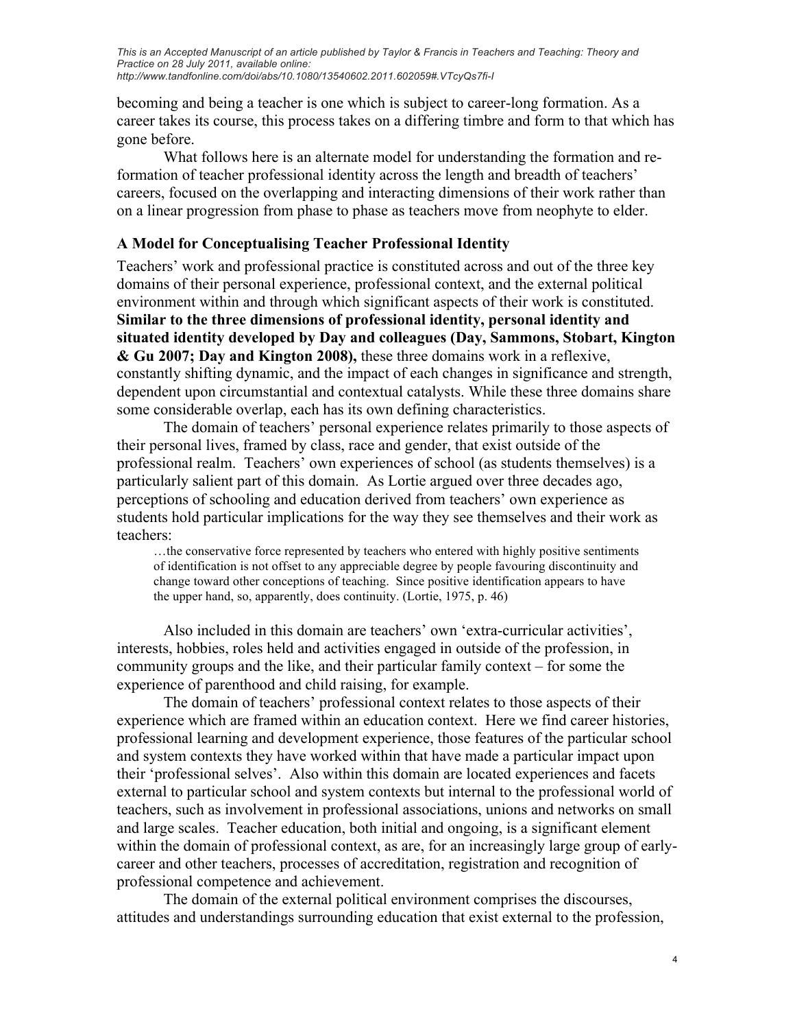becoming and being a teacher is one which is subject to career-long formation. As a career takes its course, this process takes on a differing timbre and form to that which has gone before.

What follows here is an alternate model for understanding the formation and reformation of teacher professional identity across the length and breadth of teachers' careers, focused on the overlapping and interacting dimensions of their work rather than on a linear progression from phase to phase as teachers move from neophyte to elder.

## **A Model for Conceptualising Teacher Professional Identity**

Teachers' work and professional practice is constituted across and out of the three key domains of their personal experience, professional context, and the external political environment within and through which significant aspects of their work is constituted. **Similar to the three dimensions of professional identity, personal identity and situated identity developed by Day and colleagues (Day, Sammons, Stobart, Kington & Gu 2007; Day and Kington 2008),** these three domains work in a reflexive, constantly shifting dynamic, and the impact of each changes in significance and strength, dependent upon circumstantial and contextual catalysts. While these three domains share some considerable overlap, each has its own defining characteristics.

The domain of teachers' personal experience relates primarily to those aspects of their personal lives, framed by class, race and gender, that exist outside of the professional realm. Teachers' own experiences of school (as students themselves) is a particularly salient part of this domain. As Lortie argued over three decades ago, perceptions of schooling and education derived from teachers' own experience as students hold particular implications for the way they see themselves and their work as teachers:

…the conservative force represented by teachers who entered with highly positive sentiments of identification is not offset to any appreciable degree by people favouring discontinuity and change toward other conceptions of teaching. Since positive identification appears to have the upper hand, so, apparently, does continuity. (Lortie, 1975, p. 46)

Also included in this domain are teachers' own 'extra-curricular activities', interests, hobbies, roles held and activities engaged in outside of the profession, in community groups and the like, and their particular family context – for some the experience of parenthood and child raising, for example.

The domain of teachers' professional context relates to those aspects of their experience which are framed within an education context. Here we find career histories, professional learning and development experience, those features of the particular school and system contexts they have worked within that have made a particular impact upon their 'professional selves'. Also within this domain are located experiences and facets external to particular school and system contexts but internal to the professional world of teachers, such as involvement in professional associations, unions and networks on small and large scales. Teacher education, both initial and ongoing, is a significant element within the domain of professional context, as are, for an increasingly large group of earlycareer and other teachers, processes of accreditation, registration and recognition of professional competence and achievement.

The domain of the external political environment comprises the discourses, attitudes and understandings surrounding education that exist external to the profession,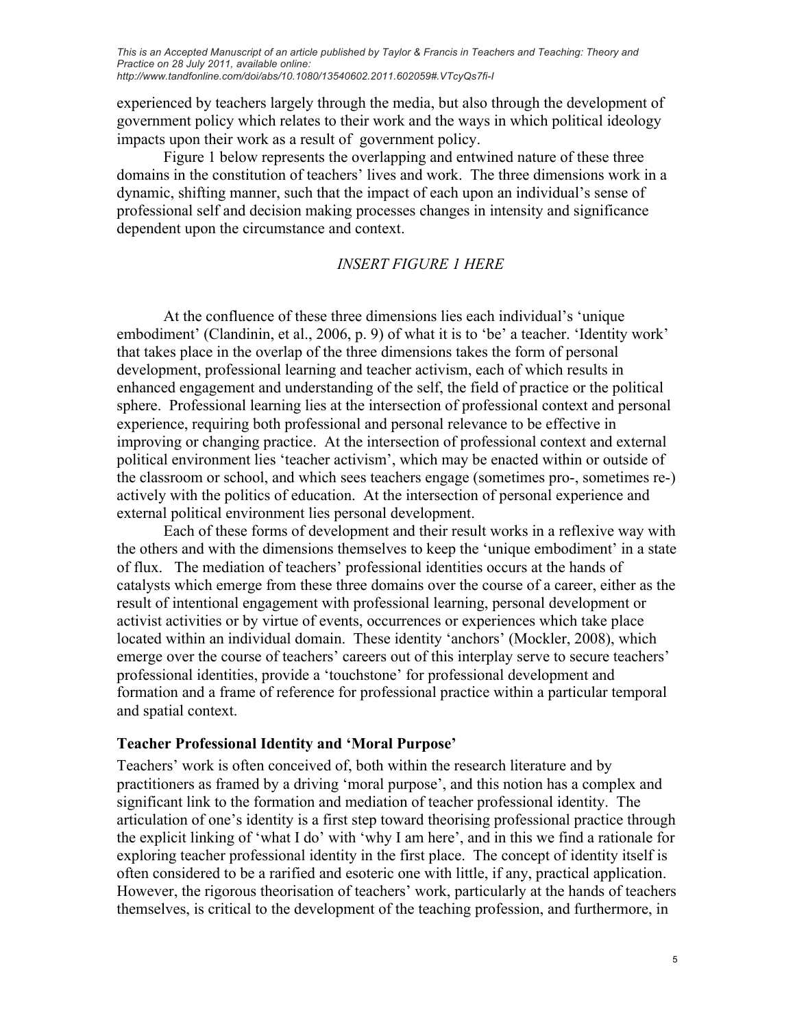experienced by teachers largely through the media, but also through the development of government policy which relates to their work and the ways in which political ideology impacts upon their work as a result of government policy.

Figure 1 below represents the overlapping and entwined nature of these three domains in the constitution of teachers' lives and work. The three dimensions work in a dynamic, shifting manner, such that the impact of each upon an individual's sense of professional self and decision making processes changes in intensity and significance dependent upon the circumstance and context.

### *INSERT FIGURE 1 HERE*

At the confluence of these three dimensions lies each individual's 'unique embodiment' (Clandinin, et al., 2006, p. 9) of what it is to 'be' a teacher. 'Identity work' that takes place in the overlap of the three dimensions takes the form of personal development, professional learning and teacher activism, each of which results in enhanced engagement and understanding of the self, the field of practice or the political sphere. Professional learning lies at the intersection of professional context and personal experience, requiring both professional and personal relevance to be effective in improving or changing practice. At the intersection of professional context and external political environment lies 'teacher activism', which may be enacted within or outside of the classroom or school, and which sees teachers engage (sometimes pro-, sometimes re-) actively with the politics of education. At the intersection of personal experience and external political environment lies personal development.

Each of these forms of development and their result works in a reflexive way with the others and with the dimensions themselves to keep the 'unique embodiment' in a state of flux. The mediation of teachers' professional identities occurs at the hands of catalysts which emerge from these three domains over the course of a career, either as the result of intentional engagement with professional learning, personal development or activist activities or by virtue of events, occurrences or experiences which take place located within an individual domain. These identity 'anchors' (Mockler, 2008), which emerge over the course of teachers' careers out of this interplay serve to secure teachers' professional identities, provide a 'touchstone' for professional development and formation and a frame of reference for professional practice within a particular temporal and spatial context.

## **Teacher Professional Identity and 'Moral Purpose'**

Teachers' work is often conceived of, both within the research literature and by practitioners as framed by a driving 'moral purpose', and this notion has a complex and significant link to the formation and mediation of teacher professional identity. The articulation of one's identity is a first step toward theorising professional practice through the explicit linking of 'what I do' with 'why I am here', and in this we find a rationale for exploring teacher professional identity in the first place. The concept of identity itself is often considered to be a rarified and esoteric one with little, if any, practical application. However, the rigorous theorisation of teachers' work, particularly at the hands of teachers themselves, is critical to the development of the teaching profession, and furthermore, in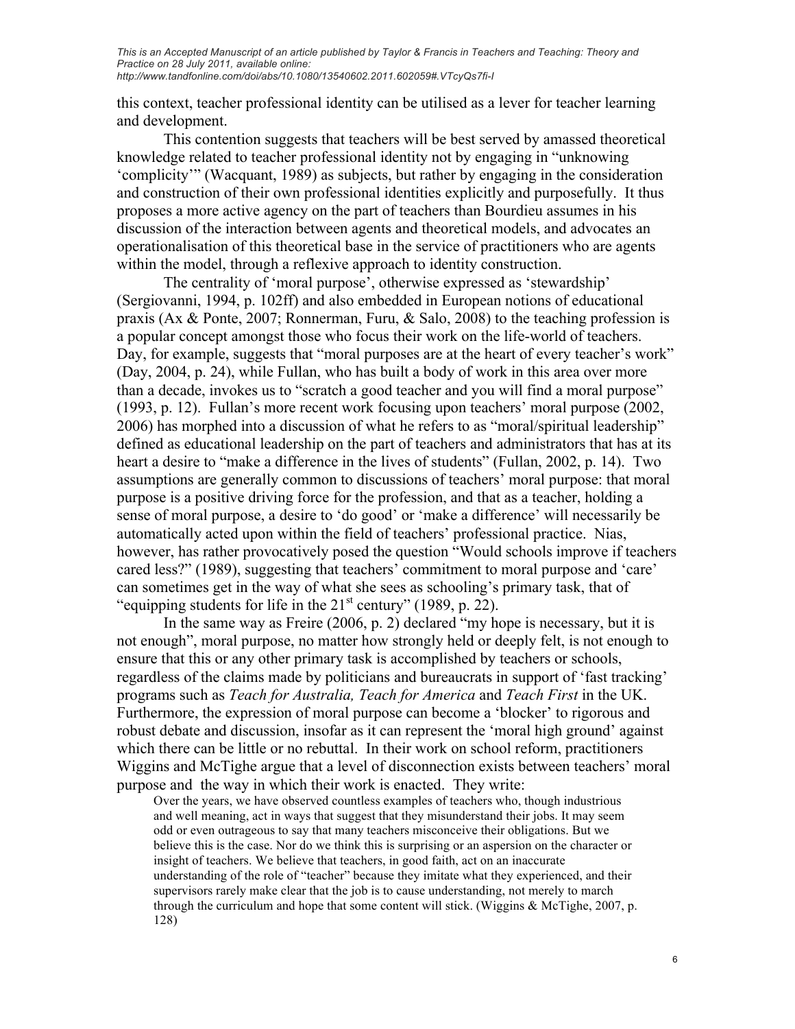this context, teacher professional identity can be utilised as a lever for teacher learning and development.

This contention suggests that teachers will be best served by amassed theoretical knowledge related to teacher professional identity not by engaging in "unknowing 'complicity'" (Wacquant, 1989) as subjects, but rather by engaging in the consideration and construction of their own professional identities explicitly and purposefully. It thus proposes a more active agency on the part of teachers than Bourdieu assumes in his discussion of the interaction between agents and theoretical models, and advocates an operationalisation of this theoretical base in the service of practitioners who are agents within the model, through a reflexive approach to identity construction.

The centrality of 'moral purpose', otherwise expressed as 'stewardship' (Sergiovanni, 1994, p. 102ff) and also embedded in European notions of educational praxis (Ax & Ponte, 2007; Ronnerman, Furu, & Salo, 2008) to the teaching profession is a popular concept amongst those who focus their work on the life-world of teachers. Day, for example, suggests that "moral purposes are at the heart of every teacher's work" (Day, 2004, p. 24), while Fullan, who has built a body of work in this area over more than a decade, invokes us to "scratch a good teacher and you will find a moral purpose" (1993, p. 12). Fullan's more recent work focusing upon teachers' moral purpose (2002, 2006) has morphed into a discussion of what he refers to as "moral/spiritual leadership" defined as educational leadership on the part of teachers and administrators that has at its heart a desire to "make a difference in the lives of students" (Fullan, 2002, p. 14). Two assumptions are generally common to discussions of teachers' moral purpose: that moral purpose is a positive driving force for the profession, and that as a teacher, holding a sense of moral purpose, a desire to 'do good' or 'make a difference' will necessarily be automatically acted upon within the field of teachers' professional practice. Nias, however, has rather provocatively posed the question "Would schools improve if teachers cared less?" (1989), suggesting that teachers' commitment to moral purpose and 'care' can sometimes get in the way of what she sees as schooling's primary task, that of "equipping students for life in the  $21<sup>st</sup>$  century" (1989, p. 22).

In the same way as Freire (2006, p. 2) declared "my hope is necessary, but it is not enough", moral purpose, no matter how strongly held or deeply felt, is not enough to ensure that this or any other primary task is accomplished by teachers or schools, regardless of the claims made by politicians and bureaucrats in support of 'fast tracking' programs such as *Teach for Australia, Teach for America* and *Teach First* in the UK. Furthermore, the expression of moral purpose can become a 'blocker' to rigorous and robust debate and discussion, insofar as it can represent the 'moral high ground' against which there can be little or no rebuttal. In their work on school reform, practitioners Wiggins and McTighe argue that a level of disconnection exists between teachers' moral purpose and the way in which their work is enacted. They write:

Over the years, we have observed countless examples of teachers who, though industrious and well meaning, act in ways that suggest that they misunderstand their jobs. It may seem odd or even outrageous to say that many teachers misconceive their obligations. But we believe this is the case. Nor do we think this is surprising or an aspersion on the character or insight of teachers. We believe that teachers, in good faith, act on an inaccurate understanding of the role of "teacher" because they imitate what they experienced, and their supervisors rarely make clear that the job is to cause understanding, not merely to march through the curriculum and hope that some content will stick. (Wiggins  $&$  McTighe, 2007, p. 128)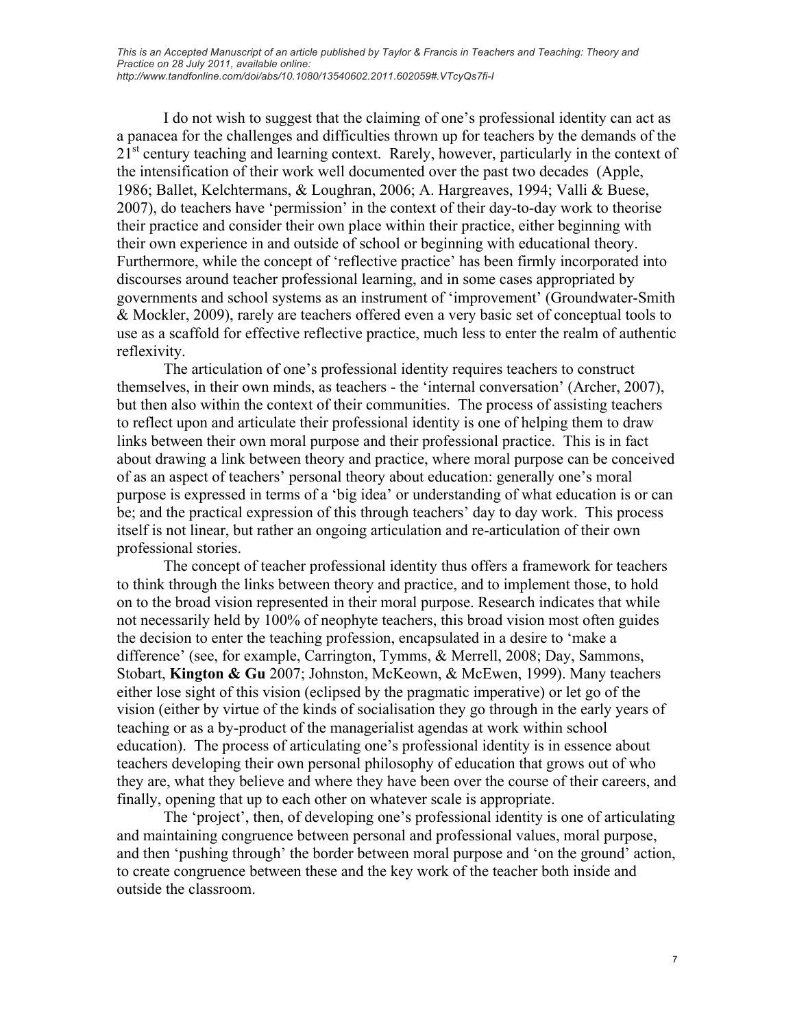I do not wish to suggest that the claiming of one's professional identity can act as a panacea for the challenges and difficulties thrown up for teachers by the demands of the  $21<sup>st</sup>$  century teaching and learning context. Rarely, however, particularly in the context of the intensification of their work well documented over the past two decades (Apple, 1986; Ballet, Kelchtermans, & Loughran, 2006; A. Hargreaves, 1994; Valli & Buese, 2007), do teachers have 'permission' in the context of their day-to-day work to theorise their practice and consider their own place within their practice, either beginning with their own experience in and outside of school or beginning with educational theory. Furthermore, while the concept of 'reflective practice' has been firmly incorporated into discourses around teacher professional learning, and in some cases appropriated by governments and school systems as an instrument of 'improvement' (Groundwater-Smith & Mockler, 2009), rarely are teachers offered even a very basic set of conceptual tools to use as a scaffold for effective reflective practice, much less to enter the realm of authentic reflexivity.

The articulation of one's professional identity requires teachers to construct themselves, in their own minds, as teachers - the 'internal conversation' (Archer, 2007), but then also within the context of their communities. The process of assisting teachers to reflect upon and articulate their professional identity is one of helping them to draw links between their own moral purpose and their professional practice. This is in fact about drawing a link between theory and practice, where moral purpose can be conceived of as an aspect of teachers' personal theory about education: generally one's moral purpose is expressed in terms of a 'big idea' or understanding of what education is or can be; and the practical expression of this through teachers' day to day work. This process itself is not linear, but rather an ongoing articulation and re-articulation of their own professional stories.

The concept of teacher professional identity thus offers a framework for teachers to think through the links between theory and practice, and to implement those, to hold on to the broad vision represented in their moral purpose. Research indicates that while not necessarily held by 100% of neophyte teachers, this broad vision most often guides the decision to enter the teaching profession, encapsulated in a desire to 'make a difference' (see, for example, Carrington, Tymms, & Merrell, 2008; Day, Sammons, Stobart, **Kington & Gu** 2007; Johnston, McKeown, & McEwen, 1999). Many teachers either lose sight of this vision (eclipsed by the pragmatic imperative) or let go of the vision (either by virtue of the kinds of socialisation they go through in the early years of teaching or as a by-product of the managerialist agendas at work within school education). The process of articulating one's professional identity is in essence about teachers developing their own personal philosophy of education that grows out of who they are, what they believe and where they have been over the course of their careers, and finally, opening that up to each other on whatever scale is appropriate.

The 'project', then, of developing one's professional identity is one of articulating and maintaining congruence between personal and professional values, moral purpose, and then 'pushing through' the border between moral purpose and 'on the ground' action, to create congruence between these and the key work of the teacher both inside and outside the classroom.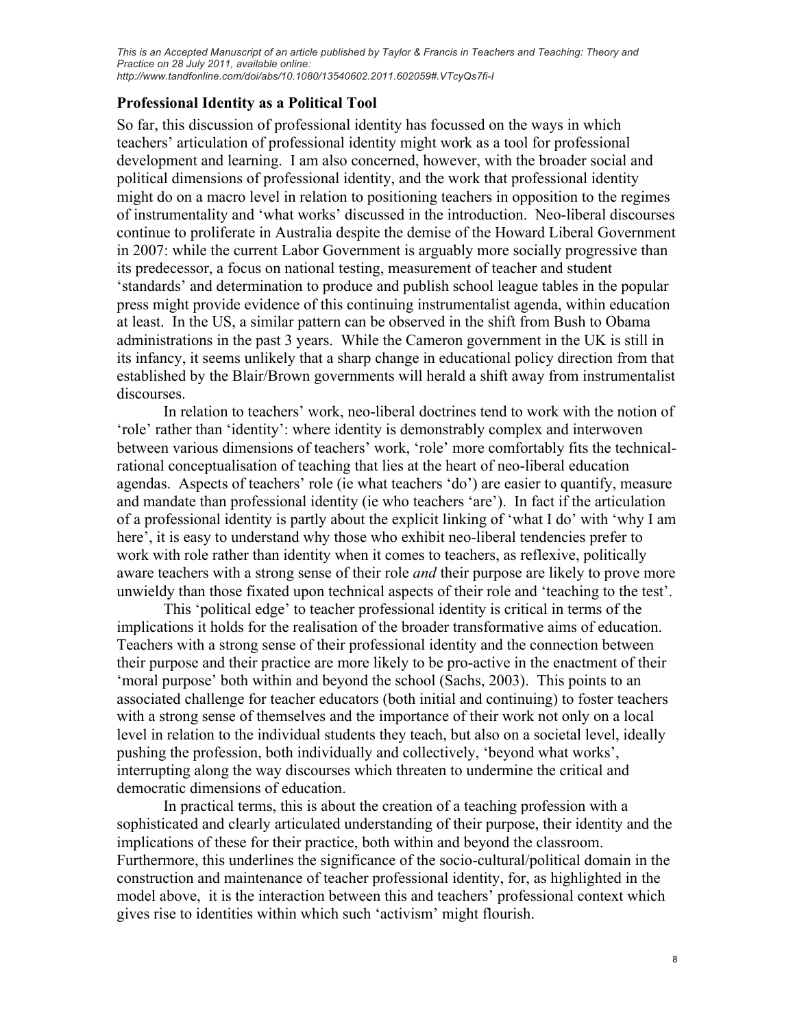## **Professional Identity as a Political Tool**

So far, this discussion of professional identity has focussed on the ways in which teachers' articulation of professional identity might work as a tool for professional development and learning. I am also concerned, however, with the broader social and political dimensions of professional identity, and the work that professional identity might do on a macro level in relation to positioning teachers in opposition to the regimes of instrumentality and 'what works' discussed in the introduction. Neo-liberal discourses continue to proliferate in Australia despite the demise of the Howard Liberal Government in 2007: while the current Labor Government is arguably more socially progressive than its predecessor, a focus on national testing, measurement of teacher and student 'standards' and determination to produce and publish school league tables in the popular press might provide evidence of this continuing instrumentalist agenda, within education at least. In the US, a similar pattern can be observed in the shift from Bush to Obama administrations in the past 3 years. While the Cameron government in the UK is still in its infancy, it seems unlikely that a sharp change in educational policy direction from that established by the Blair/Brown governments will herald a shift away from instrumentalist discourses.

In relation to teachers' work, neo-liberal doctrines tend to work with the notion of 'role' rather than 'identity': where identity is demonstrably complex and interwoven between various dimensions of teachers' work, 'role' more comfortably fits the technicalrational conceptualisation of teaching that lies at the heart of neo-liberal education agendas. Aspects of teachers' role (ie what teachers 'do') are easier to quantify, measure and mandate than professional identity (ie who teachers 'are'). In fact if the articulation of a professional identity is partly about the explicit linking of 'what I do' with 'why I am here', it is easy to understand why those who exhibit neo-liberal tendencies prefer to work with role rather than identity when it comes to teachers, as reflexive, politically aware teachers with a strong sense of their role *and* their purpose are likely to prove more unwieldy than those fixated upon technical aspects of their role and 'teaching to the test'.

This 'political edge' to teacher professional identity is critical in terms of the implications it holds for the realisation of the broader transformative aims of education. Teachers with a strong sense of their professional identity and the connection between their purpose and their practice are more likely to be pro-active in the enactment of their 'moral purpose' both within and beyond the school (Sachs, 2003). This points to an associated challenge for teacher educators (both initial and continuing) to foster teachers with a strong sense of themselves and the importance of their work not only on a local level in relation to the individual students they teach, but also on a societal level, ideally pushing the profession, both individually and collectively, 'beyond what works', interrupting along the way discourses which threaten to undermine the critical and democratic dimensions of education.

In practical terms, this is about the creation of a teaching profession with a sophisticated and clearly articulated understanding of their purpose, their identity and the implications of these for their practice, both within and beyond the classroom. Furthermore, this underlines the significance of the socio-cultural/political domain in the construction and maintenance of teacher professional identity, for, as highlighted in the model above, it is the interaction between this and teachers' professional context which gives rise to identities within which such 'activism' might flourish.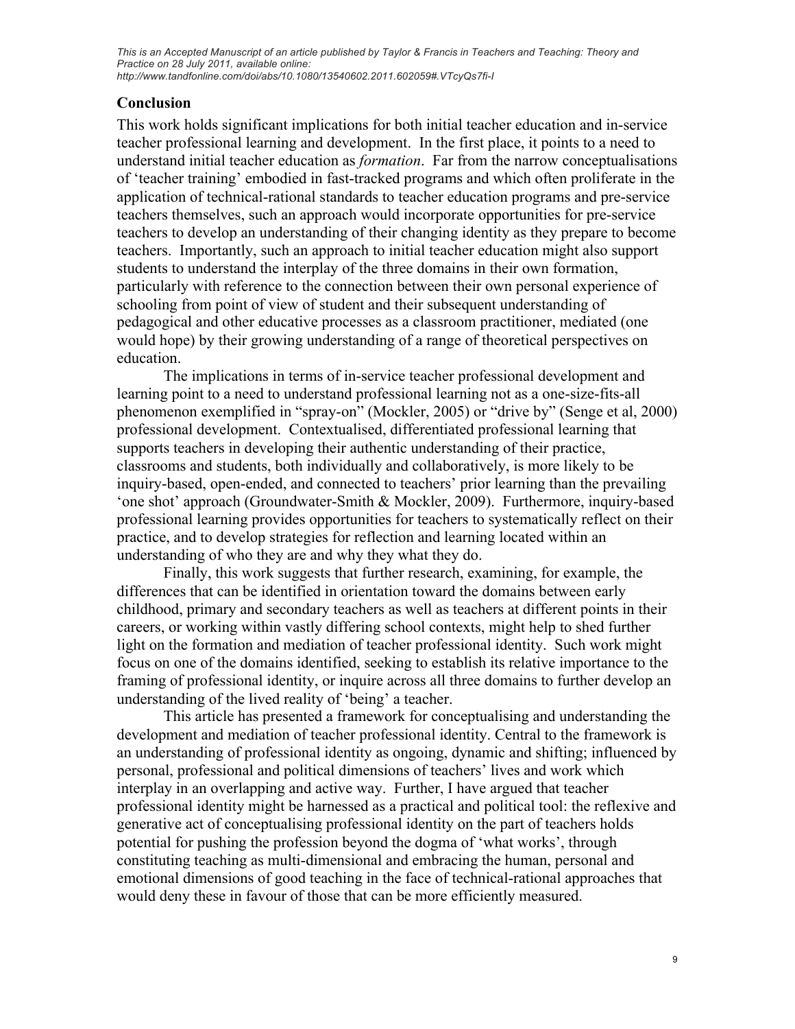# **Conclusion**

This work holds significant implications for both initial teacher education and in-service teacher professional learning and development. In the first place, it points to a need to understand initial teacher education as *formation*. Far from the narrow conceptualisations of 'teacher training' embodied in fast-tracked programs and which often proliferate in the application of technical-rational standards to teacher education programs and pre-service teachers themselves, such an approach would incorporate opportunities for pre-service teachers to develop an understanding of their changing identity as they prepare to become teachers. Importantly, such an approach to initial teacher education might also support students to understand the interplay of the three domains in their own formation, particularly with reference to the connection between their own personal experience of schooling from point of view of student and their subsequent understanding of pedagogical and other educative processes as a classroom practitioner, mediated (one would hope) by their growing understanding of a range of theoretical perspectives on education.

The implications in terms of in-service teacher professional development and learning point to a need to understand professional learning not as a one-size-fits-all phenomenon exemplified in "spray-on" (Mockler, 2005) or "drive by" (Senge et al, 2000) professional development. Contextualised, differentiated professional learning that supports teachers in developing their authentic understanding of their practice, classrooms and students, both individually and collaboratively, is more likely to be inquiry-based, open-ended, and connected to teachers' prior learning than the prevailing 'one shot' approach (Groundwater-Smith & Mockler, 2009). Furthermore, inquiry-based professional learning provides opportunities for teachers to systematically reflect on their practice, and to develop strategies for reflection and learning located within an understanding of who they are and why they what they do.

Finally, this work suggests that further research, examining, for example, the differences that can be identified in orientation toward the domains between early childhood, primary and secondary teachers as well as teachers at different points in their careers, or working within vastly differing school contexts, might help to shed further light on the formation and mediation of teacher professional identity. Such work might focus on one of the domains identified, seeking to establish its relative importance to the framing of professional identity, or inquire across all three domains to further develop an understanding of the lived reality of 'being' a teacher.

This article has presented a framework for conceptualising and understanding the development and mediation of teacher professional identity. Central to the framework is an understanding of professional identity as ongoing, dynamic and shifting; influenced by personal, professional and political dimensions of teachers' lives and work which interplay in an overlapping and active way. Further, I have argued that teacher professional identity might be harnessed as a practical and political tool: the reflexive and generative act of conceptualising professional identity on the part of teachers holds potential for pushing the profession beyond the dogma of 'what works', through constituting teaching as multi-dimensional and embracing the human, personal and emotional dimensions of good teaching in the face of technical-rational approaches that would deny these in favour of those that can be more efficiently measured.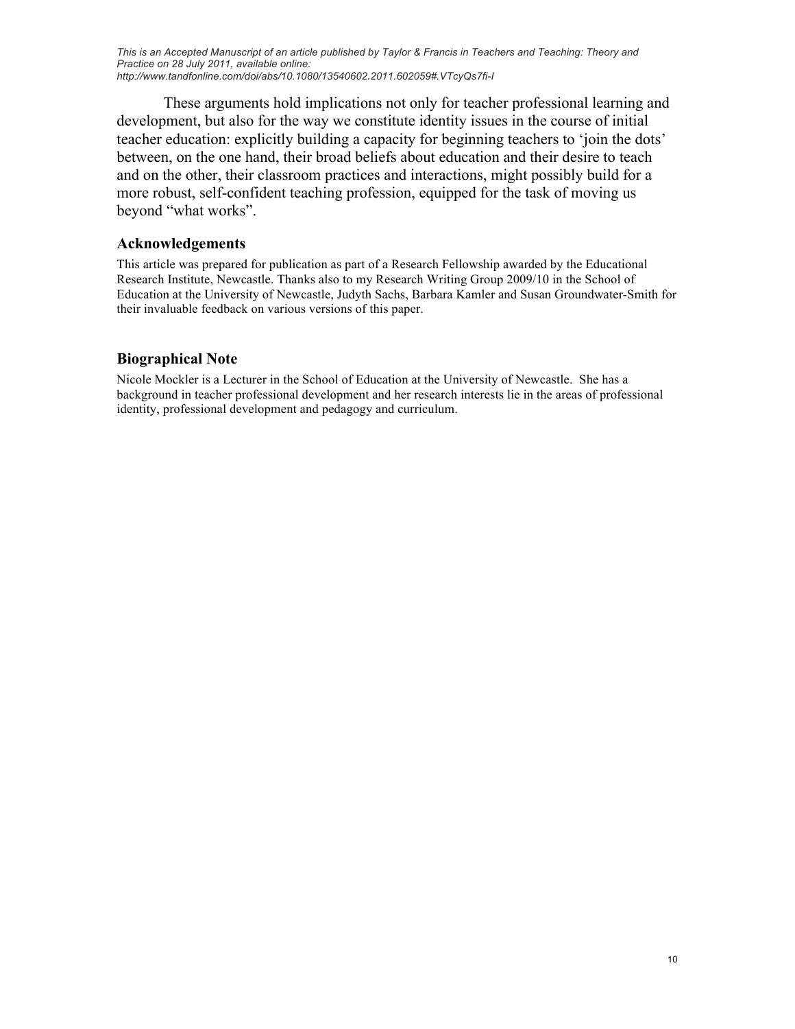These arguments hold implications not only for teacher professional learning and development, but also for the way we constitute identity issues in the course of initial teacher education: explicitly building a capacity for beginning teachers to 'join the dots' between, on the one hand, their broad beliefs about education and their desire to teach and on the other, their classroom practices and interactions, might possibly build for a more robust, self-confident teaching profession, equipped for the task of moving us beyond "what works".

#### **Acknowledgements**

This article was prepared for publication as part of a Research Fellowship awarded by the Educational Research Institute, Newcastle. Thanks also to my Research Writing Group 2009/10 in the School of Education at the University of Newcastle, Judyth Sachs, Barbara Kamler and Susan Groundwater-Smith for their invaluable feedback on various versions of this paper.

## **Biographical Note**

Nicole Mockler is a Lecturer in the School of Education at the University of Newcastle. She has a background in teacher professional development and her research interests lie in the areas of professional identity, professional development and pedagogy and curriculum.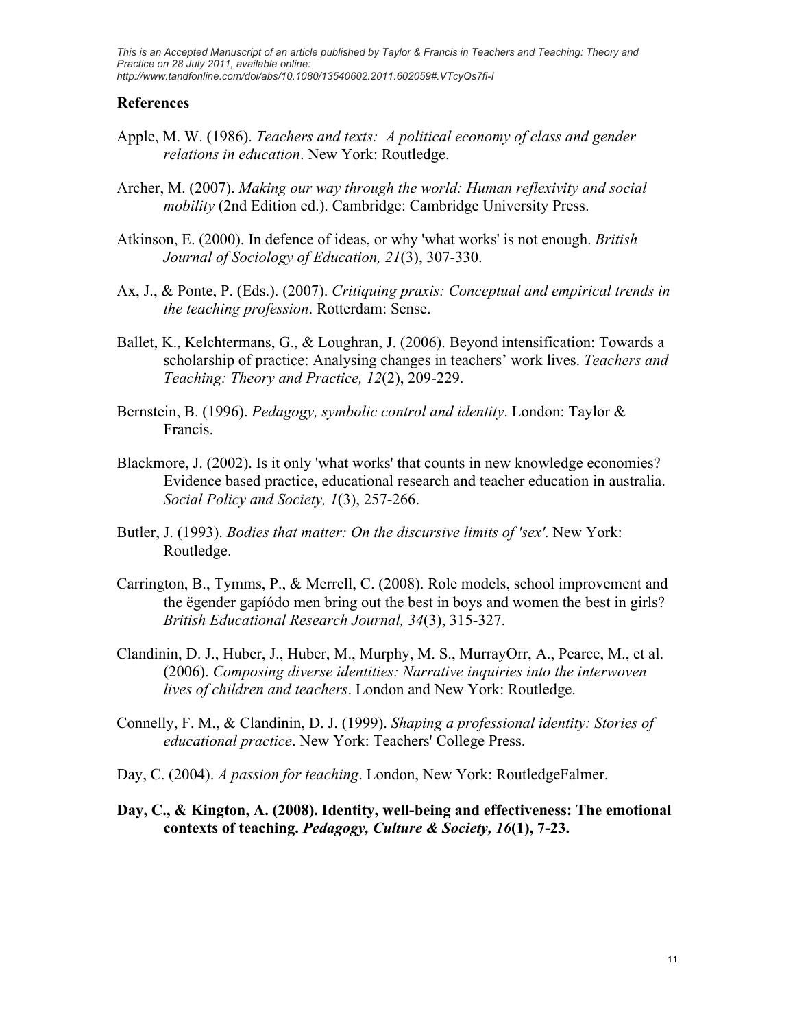## **References**

- Apple, M. W. (1986). *Teachers and texts: A political economy of class and gender relations in education*. New York: Routledge.
- Archer, M. (2007). *Making our way through the world: Human reflexivity and social mobility* (2nd Edition ed.). Cambridge: Cambridge University Press.
- Atkinson, E. (2000). In defence of ideas, or why 'what works' is not enough. *British Journal of Sociology of Education, 21*(3), 307-330.
- Ax, J., & Ponte, P. (Eds.). (2007). *Critiquing praxis: Conceptual and empirical trends in the teaching profession*. Rotterdam: Sense.
- Ballet, K., Kelchtermans, G., & Loughran, J. (2006). Beyond intensification: Towards a scholarship of practice: Analysing changes in teachers' work lives. *Teachers and Teaching: Theory and Practice, 12*(2), 209-229.
- Bernstein, B. (1996). *Pedagogy, symbolic control and identity*. London: Taylor & Francis.
- Blackmore, J. (2002). Is it only 'what works' that counts in new knowledge economies? Evidence based practice, educational research and teacher education in australia. *Social Policy and Society, 1*(3), 257-266.
- Butler, J. (1993). *Bodies that matter: On the discursive limits of 'sex'*. New York: Routledge.
- Carrington, B., Tymms, P., & Merrell, C. (2008). Role models, school improvement and the ëgender gapíódo men bring out the best in boys and women the best in girls? *British Educational Research Journal, 34*(3), 315-327.
- Clandinin, D. J., Huber, J., Huber, M., Murphy, M. S., MurrayOrr, A., Pearce, M., et al. (2006). *Composing diverse identities: Narrative inquiries into the interwoven lives of children and teachers*. London and New York: Routledge.
- Connelly, F. M., & Clandinin, D. J. (1999). *Shaping a professional identity: Stories of educational practice*. New York: Teachers' College Press.
- Day, C. (2004). *A passion for teaching*. London, New York: RoutledgeFalmer.
- **Day, C., & Kington, A. (2008). Identity, well-being and effectiveness: The emotional contexts of teaching.** *Pedagogy, Culture & Society, 16***(1), 7-23.**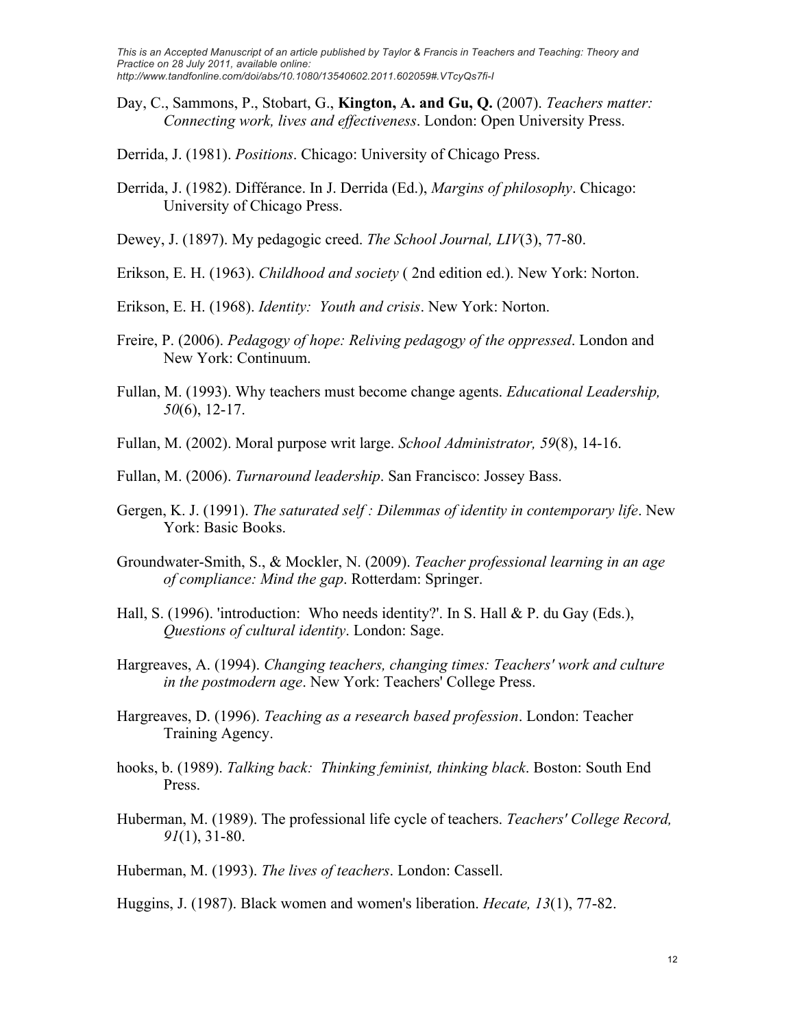- Day, C., Sammons, P., Stobart, G., **Kington, A. and Gu, Q.** (2007). *Teachers matter: Connecting work, lives and effectiveness*. London: Open University Press.
- Derrida, J. (1981). *Positions*. Chicago: University of Chicago Press.
- Derrida, J. (1982). Différance. In J. Derrida (Ed.), *Margins of philosophy*. Chicago: University of Chicago Press.
- Dewey, J. (1897). My pedagogic creed. *The School Journal, LIV*(3), 77-80.
- Erikson, E. H. (1963). *Childhood and society* ( 2nd edition ed.). New York: Norton.
- Erikson, E. H. (1968). *Identity: Youth and crisis*. New York: Norton.
- Freire, P. (2006). *Pedagogy of hope: Reliving pedagogy of the oppressed*. London and New York: Continuum.
- Fullan, M. (1993). Why teachers must become change agents. *Educational Leadership, 50*(6), 12-17.
- Fullan, M. (2002). Moral purpose writ large. *School Administrator, 59*(8), 14-16.
- Fullan, M. (2006). *Turnaround leadership*. San Francisco: Jossey Bass.
- Gergen, K. J. (1991). *The saturated self : Dilemmas of identity in contemporary life*. New York: Basic Books.
- Groundwater-Smith, S., & Mockler, N. (2009). *Teacher professional learning in an age of compliance: Mind the gap*. Rotterdam: Springer.
- Hall, S. (1996). 'introduction: Who needs identity?'. In S. Hall & P. du Gay (Eds.), *Questions of cultural identity*. London: Sage.
- Hargreaves, A. (1994). *Changing teachers, changing times: Teachers' work and culture in the postmodern age*. New York: Teachers' College Press.
- Hargreaves, D. (1996). *Teaching as a research based profession*. London: Teacher Training Agency.
- hooks, b. (1989). *Talking back: Thinking feminist, thinking black*. Boston: South End Press.
- Huberman, M. (1989). The professional life cycle of teachers. *Teachers' College Record, 91*(1), 31-80.
- Huberman, M. (1993). *The lives of teachers*. London: Cassell.

Huggins, J. (1987). Black women and women's liberation. *Hecate, 13*(1), 77-82.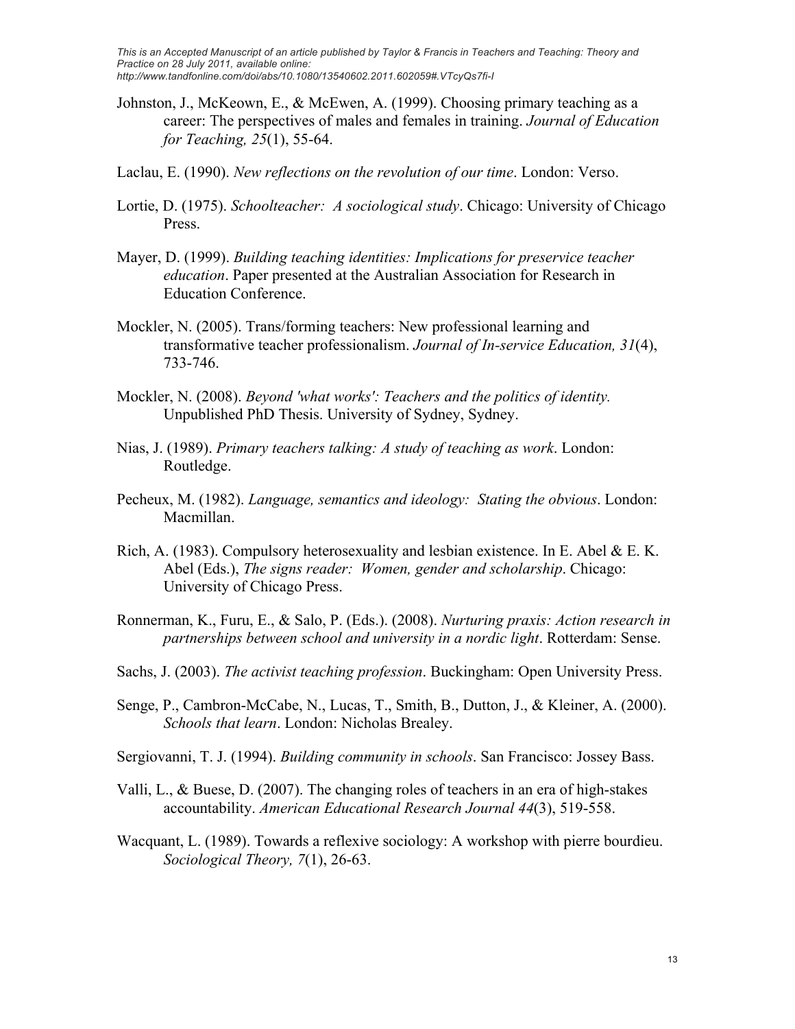- Johnston, J., McKeown, E., & McEwen, A. (1999). Choosing primary teaching as a career: The perspectives of males and females in training. *Journal of Education for Teaching, 25*(1), 55-64.
- Laclau, E. (1990). *New reflections on the revolution of our time*. London: Verso.
- Lortie, D. (1975). *Schoolteacher: A sociological study*. Chicago: University of Chicago Press.
- Mayer, D. (1999). *Building teaching identities: Implications for preservice teacher education*. Paper presented at the Australian Association for Research in Education Conference.
- Mockler, N. (2005). Trans/forming teachers: New professional learning and transformative teacher professionalism. *Journal of In-service Education, 31*(4), 733-746.
- Mockler, N. (2008). *Beyond 'what works': Teachers and the politics of identity.* Unpublished PhD Thesis. University of Sydney, Sydney.
- Nias, J. (1989). *Primary teachers talking: A study of teaching as work*. London: Routledge.
- Pecheux, M. (1982). *Language, semantics and ideology: Stating the obvious*. London: Macmillan.
- Rich, A. (1983). Compulsory heterosexuality and lesbian existence. In E. Abel & E. K. Abel (Eds.), *The signs reader: Women, gender and scholarship*. Chicago: University of Chicago Press.
- Ronnerman, K., Furu, E., & Salo, P. (Eds.). (2008). *Nurturing praxis: Action research in partnerships between school and university in a nordic light*. Rotterdam: Sense.
- Sachs, J. (2003). *The activist teaching profession*. Buckingham: Open University Press.
- Senge, P., Cambron-McCabe, N., Lucas, T., Smith, B., Dutton, J., & Kleiner, A. (2000). *Schools that learn*. London: Nicholas Brealey.
- Sergiovanni, T. J. (1994). *Building community in schools*. San Francisco: Jossey Bass.
- Valli, L., & Buese, D. (2007). The changing roles of teachers in an era of high-stakes accountability. *American Educational Research Journal 44*(3), 519-558.
- Wacquant, L. (1989). Towards a reflexive sociology: A workshop with pierre bourdieu. *Sociological Theory, 7*(1), 26-63.